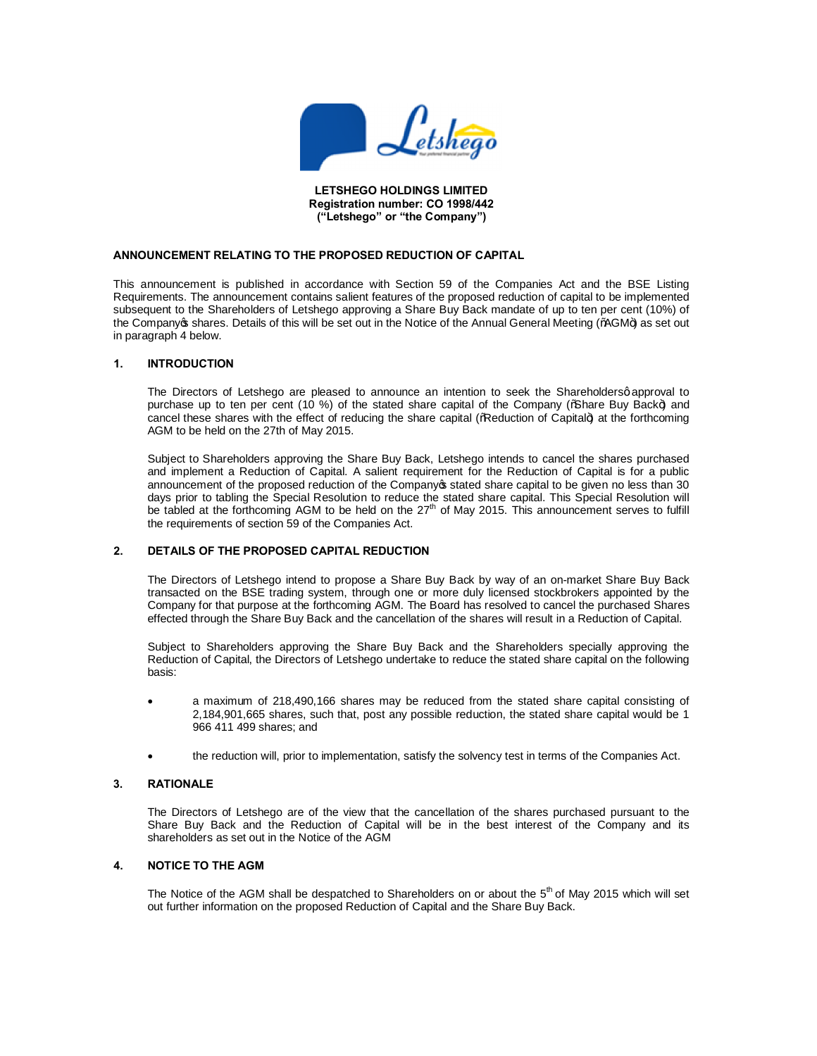

#### **LETSHEGO HOLDINGS LIMITED Registration number: CO 1998/442 ("Letshego" or "the Company")**

# **ANNOUNCEMENT RELATING TO THE PROPOSED REDUCTION OF CAPITAL**

This announcement is published in accordance with Section 59 of the Companies Act and the BSE Listing Requirements. The announcement contains salient features of the proposed reduction of capital to be implemented subsequent to the Shareholders of Letshego approving a Share Buy Back mandate of up to ten per cent (10%) of the Companyop shares. Details of this will be set out in the Notice of the Annual General Meeting (%AGM+) as set out in paragraph 4 below.

#### **1. INTRODUCTION**

The Directors of Letshego are pleased to announce an intention to seek the Shareholdersg approval to purchase up to ten per cent (10 %) of the stated share capital of the Company (% hare Buy Back+) and cancel these shares with the effect of reducing the share capital (%Reduction of Capital+) at the forthcoming AGM to be held on the 27th of May 2015.

Subject to Shareholders approving the Share Buy Back, Letshego intends to cancel the shares purchased and implement a Reduction of Capital. A salient requirement for the Reduction of Capital is for a public announcement of the proposed reduction of the Company stated share capital to be given no less than 30 days prior to tabling the Special Resolution to reduce the stated share capital. This Special Resolution will be tabled at the forthcoming AGM to be held on the 27<sup>th</sup> of May 2015. This announcement serves to fulfill the requirements of section 59 of the Companies Act.

## **2. DETAILS OF THE PROPOSED CAPITAL REDUCTION**

The Directors of Letshego intend to propose a Share Buy Back by way of an on-market Share Buy Back transacted on the BSE trading system, through one or more duly licensed stockbrokers appointed by the Company for that purpose at the forthcoming AGM. The Board has resolved to cancel the purchased Shares effected through the Share Buy Back and the cancellation of the shares will result in a Reduction of Capital.

Subject to Shareholders approving the Share Buy Back and the Shareholders specially approving the Reduction of Capital, the Directors of Letshego undertake to reduce the stated share capital on the following basis:

- · a maximum of 218,490,166 shares may be reduced from the stated share capital consisting of 2,184,901,665 shares, such that, post any possible reduction, the stated share capital would be 1 966 411 499 shares; and
- the reduction will, prior to implementation, satisfy the solvency test in terms of the Companies Act.

## **3. RATIONALE**

The Directors of Letshego are of the view that the cancellation of the shares purchased pursuant to the Share Buy Back and the Reduction of Capital will be in the best interest of the Company and its shareholders as set out in the Notice of the AGM

## **4. NOTICE TO THE AGM**

The Notice of the AGM shall be despatched to Shareholders on or about the  $5<sup>th</sup>$  of May 2015 which will set out further information on the proposed Reduction of Capital and the Share Buy Back.